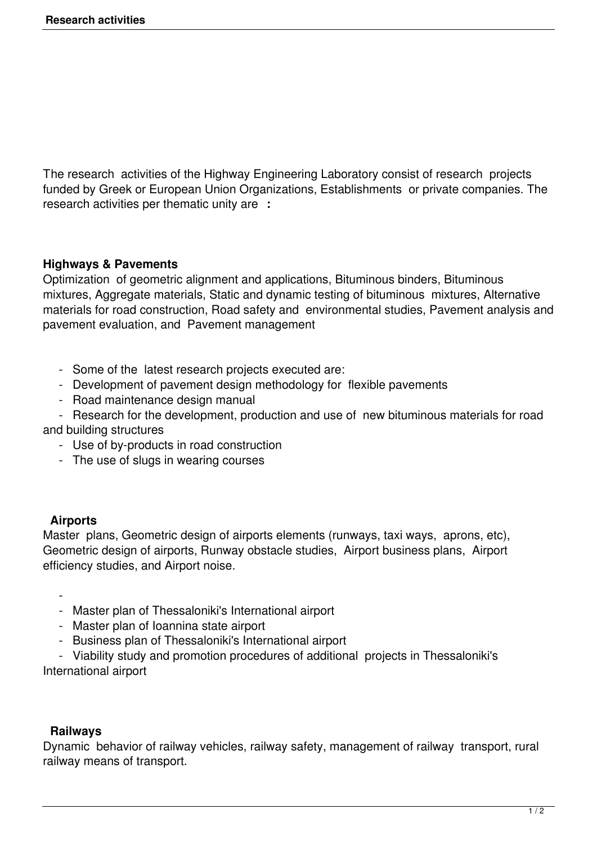The research activities of the Highway Engineering Laboratory consist of research projects funded by Greek or European Union Organizations, Establishments or private companies. The research activities per thematic unity are **:**

## **Highways & Pavements**

Optimization of geometric alignment and applications, Bituminous binders, Bituminous mixtures, Aggregate materials, Static and dynamic testing of bituminous mixtures, Alternative materials for road construction, Road safety and environmental studies, Pavement analysis and pavement evaluation, and Pavement management

- Some of the latest research projects executed are:
- Development of pavement design methodology for flexible pavements
- Road maintenance design manual
- Research for the development, production and use of new bituminous materials for road and building structures
	- Use of by-products in road construction
	- The use of slugs in wearing courses

## **Airports**

Master plans, Geometric design of airports elements (runways, taxi ways, aprons, etc), Geometric design of airports, Runway obstacle studies, Airport business plans, Airport efficiency studies, and Airport noise.

 $\sim$  -  $\sim$ 

- Master plan of Thessaloniki's International airport
- Master plan of Ioannina state airport
- Business plan of Thessaloniki's International airport

 - Viability study and promotion procedures of additional projects in Thessaloniki's International airport

## **Railways**

Dynamic behavior of railway vehicles, railway safety, management of railway transport, rural railway means of transport.